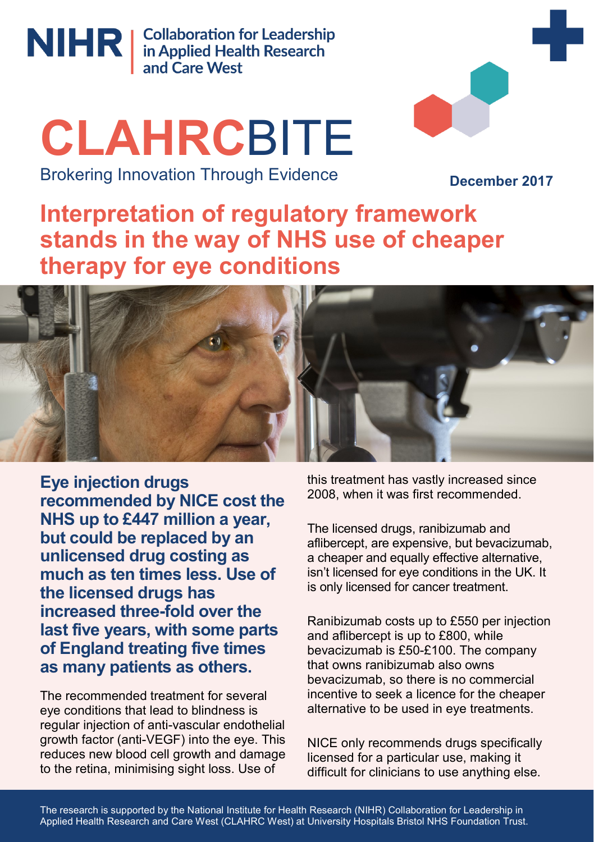

NIHR | Collaboration for Leadership<br>
and Care West

# **CLAHRC**BITE

Brokering Innovation Through Evidence

**December 2017**

# **Interpretation of regulatory framework stands in the way of NHS use of cheaper therapy for eye conditions**



**Eye injection drugs recommended by NICE cost the NHS up to £447 million a year, but could be replaced by an unlicensed drug costing as much as ten times less. Use of the licensed drugs has increased three-fold over the last five years, with some parts of England treating five times as many patients as others.**

The recommended treatment for several eye conditions that lead to blindness is regular injection of anti-vascular endothelial growth factor (anti-VEGF) into the eye. This reduces new blood cell growth and damage to the retina, minimising sight loss. Use of

this treatment has vastly increased since 2008, when it was first recommended.

The licensed drugs, ranibizumab and aflibercept, are expensive, but bevacizumab, a cheaper and equally effective alternative, isn't licensed for eye conditions in the UK. It is only licensed for cancer treatment.

Ranibizumab costs up to £550 per injection and aflibercept is up to £800, while bevacizumab is £50-£100. The company that owns ranibizumab also owns bevacizumab, so there is no commercial incentive to seek a licence for the cheaper alternative to be used in eye treatments.

NICE only recommends drugs specifically licensed for a particular use, making it difficult for clinicians to use anything else.